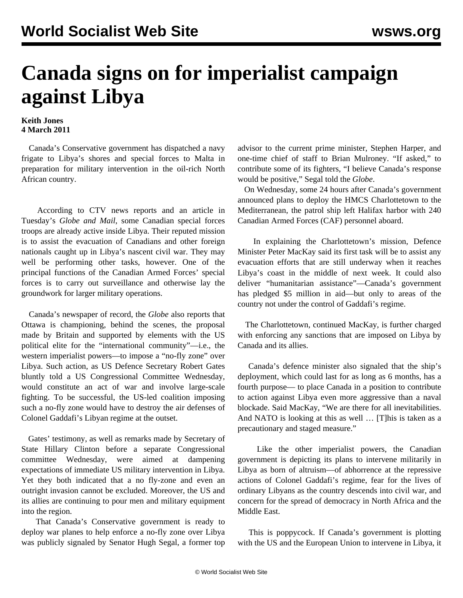## **Canada signs on for imperialist campaign against Libya**

## **Keith Jones 4 March 2011**

 Canada's Conservative government has dispatched a navy frigate to Libya's shores and special forces to Malta in preparation for military intervention in the oil-rich North African country.

 According to CTV news reports and an article in Tuesday's *Globe and Mail*, some Canadian special forces troops are already active inside Libya. Their reputed mission is to assist the evacuation of Canadians and other foreign nationals caught up in Libya's nascent civil war. They may well be performing other tasks, however. One of the principal functions of the Canadian Armed Forces' special forces is to carry out surveillance and otherwise lay the groundwork for larger military operations.

 Canada's newspaper of record, the *Globe* also reports that Ottawa is championing, behind the scenes, the proposal made by Britain and supported by elements with the US political elite for the "international community"—i.e., the western imperialist powers—to impose a "no-fly zone" over Libya. Such action, as US Defence Secretary Robert Gates bluntly told a US Congressional Committee Wednesday, would constitute an act of war and involve large-scale fighting. To be successful, the US-led coalition imposing such a no-fly zone would have to destroy the air defenses of Colonel Gaddafi's Libyan regime at the outset.

 Gates' testimony, as well as remarks made by Secretary of State Hillary Clinton before a separate Congressional committee Wednesday, were aimed at dampening expectations of immediate US military intervention in Libya. Yet they both indicated that a no fly-zone and even an outright invasion cannot be excluded. Moreover, the US and its allies are continuing to pour men and military equipment into the region.

 That Canada's Conservative government is ready to deploy war planes to help enforce a no-fly zone over Libya was publicly signaled by Senator Hugh Segal, a former top advisor to the current prime minister, Stephen Harper, and one-time chief of staff to Brian Mulroney. "If asked," to contribute some of its fighters, "I believe Canada's response would be positive," Segal told the *Globe*.

 On Wednesday, some 24 hours after Canada's government announced plans to deploy the HMCS Charlottetown to the Mediterranean, the patrol ship left Halifax harbor with 240 Canadian Armed Forces (CAF) personnel aboard.

 In explaining the Charlottetown's mission, Defence Minister Peter MacKay said its first task will be to assist any evacuation efforts that are still underway when it reaches Libya's coast in the middle of next week. It could also deliver "humanitarian assistance"—Canada's government has pledged \$5 million in aid—but only to areas of the country not under the control of Gaddafi's regime.

 The Charlottetown, continued MacKay, is further charged with enforcing any sanctions that are imposed on Libya by Canada and its allies.

 Canada's defence minister also signaled that the ship's deployment, which could last for as long as 6 months, has a fourth purpose— to place Canada in a position to contribute to action against Libya even more aggressive than a naval blockade. Said MacKay, "We are there for all inevitabilities. And NATO is looking at this as well … [T]his is taken as a precautionary and staged measure."

 Like the other imperialist powers, the Canadian government is depicting its plans to intervene militarily in Libya as born of altruism—of abhorrence at the repressive actions of Colonel Gaddafi's regime, fear for the lives of ordinary Libyans as the country descends into civil war, and concern for the spread of democracy in North Africa and the Middle East.

 This is poppycock. If Canada's government is plotting with the US and the European Union to intervene in Libya, it